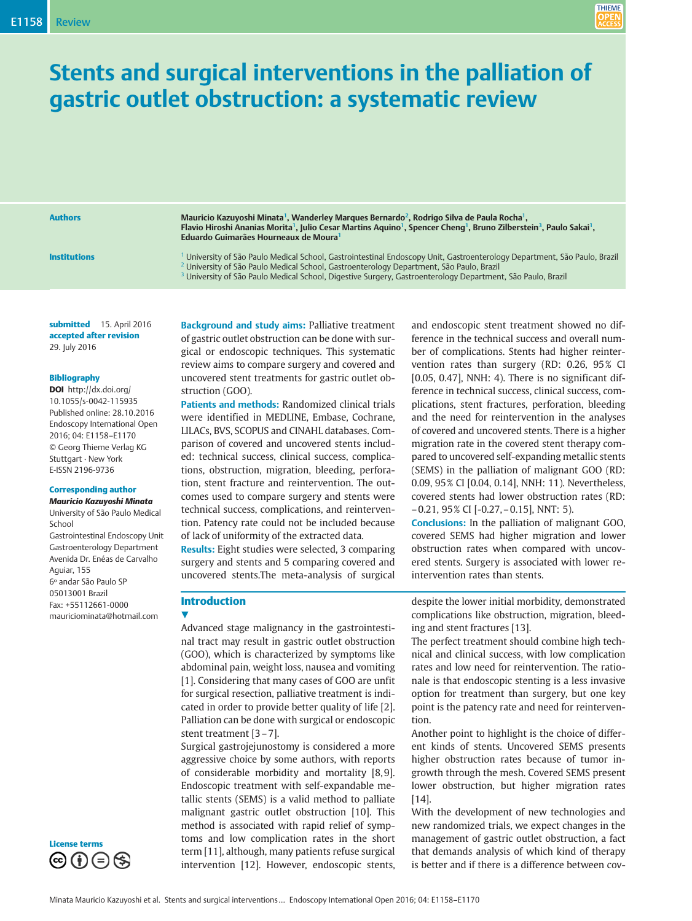

## Stents and surgical interventions in the palliation of gastric outlet obstruction: a systematic review

Authors Mauricio Kazuyoshi Minata1, Wanderley Marques Bernardo2, Rodrigo Silva de Paula Rocha1, Flavio Hiroshi Ananias Morita<sup>1</sup>, Julio Cesar Martins Aquino<sup>1</sup>, Spencer Cheng<sup>1</sup>, Bruno Zilberstein<sup>3</sup>, Paulo Sakai<sup>1</sup>, Eduardo Guimarães Hourneaux de Moura1

Institutions **1 University of São Paulo Medical School**, Gastrointestinal Endoscopy Unit, Gastroenterology Department, São Paulo, Brazil <sup>2</sup> University of São Paulo Medical School, Gastroenterology Department, São Paulo, Brazil

<sup>3</sup> University of São Paulo Medical School, Digestive Surgery, Gastroenterology Department, São Paulo, Brazil

submitted 15. April 2016 accepted after revision 29. July 2016

#### Bibliography

DOI http://dx.doi.org/ 10.1055/s-0042-115935 Published online: 28.10.2016 Endoscopy International Open 2016; 04: E1158–E1170 © Georg Thieme Verlag KG Stuttgart · New York E-ISSN 2196-9736

#### Corresponding author Mauricio Kazuyoshi Minata

University of São Paulo Medical School Gastrointestinal Endoscopy Unit Gastroenterology Department Avenida Dr. Enéas de Carvalho Aguiar, 155 6º andar São Paulo SP 05013001 Brazil Fax: +55112661-0000 mauriciominata@hotmail.com



Background and study aims: Palliative treatment of gastric outlet obstruction can be done with surgical or endoscopic techniques. This systematic review aims to compare surgery and covered and uncovered stent treatments for gastric outlet obstruction (GOO).

Patients and methods: Randomized clinical trials were identified in MEDLINE, Embase, Cochrane, LILACs, BVS, SCOPUS and CINAHL databases. Comparison of covered and uncovered stents included: technical success, clinical success, complications, obstruction, migration, bleeding, perforation, stent fracture and reintervention. The outcomes used to compare surgery and stents were technical success, complications, and reintervention. Patency rate could not be included because of lack of uniformity of the extracted data.

Results: Eight studies were selected, 3 comparing surgery and stents and 5 comparing covered and uncovered stents.The meta-analysis of surgical

#### Introduction

 $\blacktriangledown$ 

Advanced stage malignancy in the gastrointestinal tract may result in gastric outlet obstruction (GOO), which is characterized by symptoms like abdominal pain, weight loss, nausea and vomiting [1]. Considering that many cases of GOO are unfit for surgical resection, palliative treatment is indicated in order to provide better quality of life [2]. Palliation can be done with surgical or endoscopic stent treatment [3–7].

Surgical gastrojejunostomy is considered a more aggressive choice by some authors, with reports of considerable morbidity and mortality [8, 9]. Endoscopic treatment with self-expandable metallic stents (SEMS) is a valid method to palliate malignant gastric outlet obstruction [10]. This method is associated with rapid relief of symptoms and low complication rates in the short term [11], although, many patients refuse surgical intervention [12]. However, endoscopic stents,

and endoscopic stent treatment showed no difference in the technical success and overall number of complications. Stents had higher reintervention rates than surgery (RD: 0.26, 95% CI [0.05, 0.47], NNH: 4). There is no significant difference in technical success, clinical success, complications, stent fractures, perforation, bleeding and the need for reintervention in the analyses of covered and uncovered stents. There is a higher migration rate in the covered stent therapy compared to uncovered self-expanding metallic stents (SEMS) in the palliation of malignant GOO (RD: 0.09, 95 % CI [0.04, 0.14], NNH: 11). Nevertheless, covered stents had lower obstruction rates (RD:  $-0.21$ ,  $95\%$  CI  $[-0.27, -0.15]$ , NNT: 5).

Conclusions: In the palliation of malignant GOO, covered SEMS had higher migration and lower obstruction rates when compared with uncovered stents. Surgery is associated with lower reintervention rates than stents.

despite the lower initial morbidity, demonstrated complications like obstruction, migration, bleeding and stent fractures [13].

The perfect treatment should combine high technical and clinical success, with low complication rates and low need for reintervention. The rationale is that endoscopic stenting is a less invasive option for treatment than surgery, but one key point is the patency rate and need for reintervention.

Another point to highlight is the choice of different kinds of stents. Uncovered SEMS presents higher obstruction rates because of tumor ingrowth through the mesh. Covered SEMS present lower obstruction, but higher migration rates [14].

With the development of new technologies and new randomized trials, we expect changes in the management of gastric outlet obstruction, a fact that demands analysis of which kind of therapy is better and if there is a difference between cov-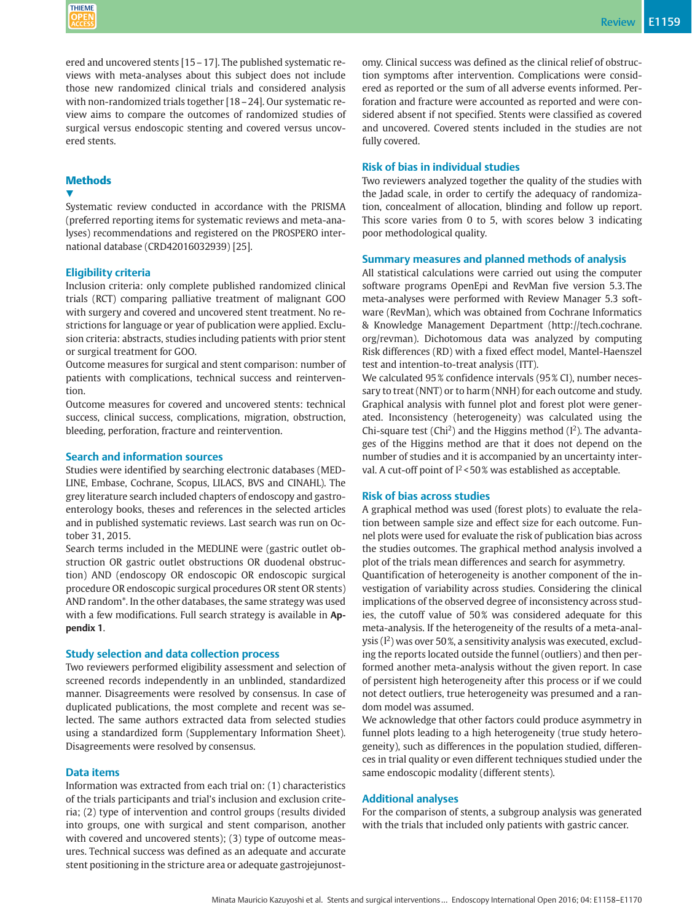

ered and uncovered stents [15–17]. The published systematic reviews with meta-analyses about this subject does not include those new randomized clinical trials and considered analysis with non-randomized trials together [18–24]. Our systematic review aims to compare the outcomes of randomized studies of surgical versus endoscopic stenting and covered versus uncovered stents.

#### **Methods**

V,

Systematic review conducted in accordance with the PRISMA (preferred reporting items for systematic reviews and meta-analyses) recommendations and registered on the PROSPERO international database (CRD42016032939) [25].

#### Eligibility criteria

Inclusion criteria: only complete published randomized clinical trials (RCT) comparing palliative treatment of malignant GOO with surgery and covered and uncovered stent treatment. No restrictions for language or year of publication were applied. Exclusion criteria: abstracts, studies including patients with prior stent or surgical treatment for GOO.

Outcome measures for surgical and stent comparison: number of patients with complications, technical success and reintervention.

Outcome measures for covered and uncovered stents: technical success, clinical success, complications, migration, obstruction, bleeding, perforation, fracture and reintervention.

#### Search and information sources

Studies were identified by searching electronic databases (MED-LINE, Embase, Cochrane, Scopus, LILACS, BVS and CINAHL). The grey literature search included chapters of endoscopy and gastroenterology books, theses and references in the selected articles and in published systematic reviews. Last search was run on October 31, 2015.

Search terms included in the MEDLINE were (gastric outlet obstruction OR gastric outlet obstructions OR duodenal obstruction) AND (endoscopy OR endoscopic OR endoscopic surgical procedure OR endoscopic surgical procedures OR stent OR stents) AND random\*. In the other databases, the same strategy was used with a few modifications. Full search strategy is available in Appendix 1.

#### Study selection and data collection process

Two reviewers performed eligibility assessment and selection of screened records independently in an unblinded, standardized manner. Disagreements were resolved by consensus. In case of duplicated publications, the most complete and recent was selected. The same authors extracted data from selected studies using a standardized form (Supplementary Information Sheet). Disagreements were resolved by consensus.

#### Data items

Information was extracted from each trial on: (1) characteristics of the trials participants and trial's inclusion and exclusion criteria; (2) type of intervention and control groups (results divided into groups, one with surgical and stent comparison, another with covered and uncovered stents); (3) type of outcome measures. Technical success was defined as an adequate and accurate stent positioning in the stricture area or adequate gastrojejunostomy. Clinical success was defined as the clinical relief of obstruction symptoms after intervention. Complications were considered as reported or the sum of all adverse events informed. Perforation and fracture were accounted as reported and were considered absent if not specified. Stents were classified as covered and uncovered. Covered stents included in the studies are not fully covered.

#### Risk of bias in individual studies

Two reviewers analyzed together the quality of the studies with the Jadad scale, in order to certify the adequacy of randomization, concealment of allocation, blinding and follow up report. This score varies from 0 to 5, with scores below 3 indicating poor methodological quality.

#### Summary measures and planned methods of analysis

All statistical calculations were carried out using the computer software programs OpenEpi and RevMan five version 5.3. The meta-analyses were performed with Review Manager 5.3 software (RevMan), which was obtained from Cochrane Informatics & Knowledge Management Department (http://tech.cochrane. org/revman). Dichotomous data was analyzed by computing Risk differences (RD) with a fixed effect model, Mantel-Haenszel test and intention-to-treat analysis (ITT).

We calculated 95% confidence intervals (95% CI), number necessary to treat (NNT) or to harm (NNH) for each outcome and study. Graphical analysis with funnel plot and forest plot were generated. Inconsistency (heterogeneity) was calculated using the Chi-square test (Chi<sup>2</sup>) and the Higgins method ( $I<sup>2</sup>$ ). The advantages of the Higgins method are that it does not depend on the number of studies and it is accompanied by an uncertainty interval. A cut-off point of  $I^2$  < 50% was established as acceptable.

#### Risk of bias across studies

A graphical method was used (forest plots) to evaluate the relation between sample size and effect size for each outcome. Funnel plots were used for evaluate the risk of publication bias across the studies outcomes. The graphical method analysis involved a plot of the trials mean differences and search for asymmetry. Quantification of heterogeneity is another component of the investigation of variability across studies. Considering the clinical implications of the observed degree of inconsistency across studies, the cutoff value of 50% was considered adequate for this meta-analysis. If the heterogeneity of the results of a meta-analysis  $(I^2)$  was over 50%, a sensitivity analysis was executed, excluding the reports located outside the funnel (outliers) and then performed another meta-analysis without the given report. In case of persistent high heterogeneity after this process or if we could not detect outliers, true heterogeneity was presumed and a random model was assumed.

We acknowledge that other factors could produce asymmetry in funnel plots leading to a high heterogeneity (true study heterogeneity), such as differences in the population studied, differences in trial quality or even different techniques studied under the same endoscopic modality (different stents).

#### Additional analyses

For the comparison of stents, a subgroup analysis was generated with the trials that included only patients with gastric cancer.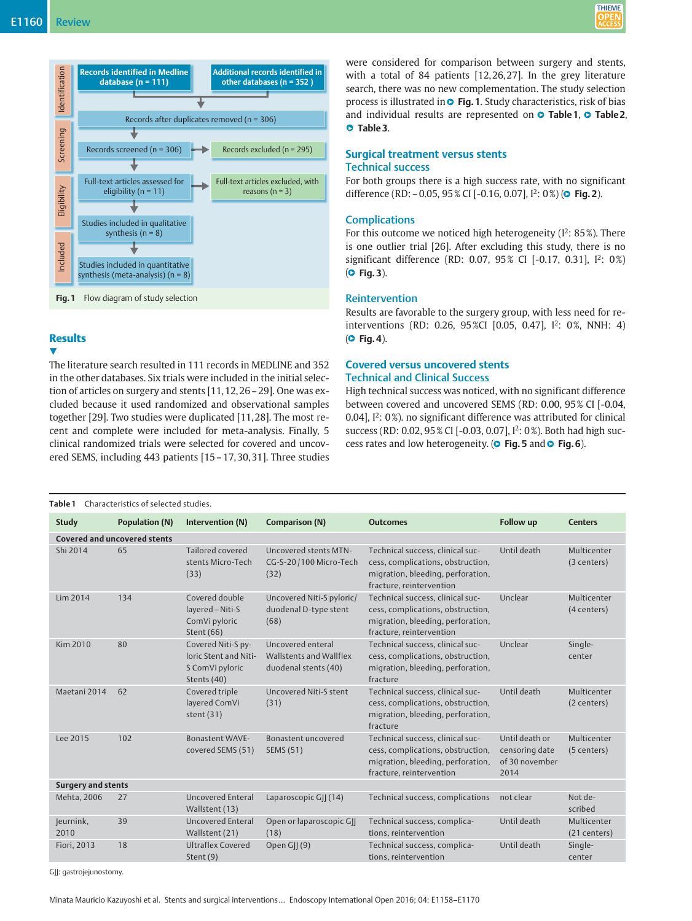

#### **Results**

**.** 

The literature search resulted in 111 records in MEDLINE and 352 in the other databases. Six trials were included in the initial selection of articles on surgery and stents [11, 12, 26–29]. One was excluded because it used randomized and observational samples together [29]. Two studies were duplicated [11, 28]. The most recent and complete were included for meta-analysis. Finally, 5 clinical randomized trials were selected for covered and uncovered SEMS, including 443 patients [15–17, 30, 31]. Three studies



were considered for comparison between surgery and stents, with a total of 84 patients [12, 26, 27]. In the grey literature search, there was no new complementation. The study selection process is illustrated in **O** Fig. 1. Study characteristics, risk of bias and individual results are represented on **O Table 1, O Table 2**, **O** Table 3.

#### Surgical treatment versus stents Technical success

For both groups there is a high success rate, with no significant difference (RD: –0.05, 95 % CI [-0.16, 0.07], I<sup>2</sup>: 0 %) (**© Fig. 2**).

#### **Complications**

For this outcome we noticed high heterogeneity  $(1^2: 85\%)$ . There is one outlier trial [26]. After excluding this study, there is no significant difference (RD: 0.07, 95% CI [-0.17, 0.31], I<sup>2</sup>: 0%)  $($  Fig. 3 $).$ 

#### Reintervention

Results are favorable to the surgery group, with less need for reinterventions (RD: 0.26, 95%CI [0.05, 0.47], I<sup>2</sup>: 0%, NNH: 4)  $(O$  Fig. 4).

#### Covered versus uncovered stents Technical and Clinical Success

High technical success was noticed, with no significant difference between covered and uncovered SEMS (RD: 0.00, 95% CI [-0.04, 0.04],  $I^2$ : 0%). no significant difference was attributed for clinical success (RD: 0.02, 95 % CI [-0.03, 0.07], I<sup>2</sup>: 0 %). Both had high success rates and low heterogeneity. (**O Fig.5** and **O Fig.6**).

|                           | Table 1 Characteristics of selected studies. |                                                                               |                                                                      |                                                                                                                                        |                                                            |                             |
|---------------------------|----------------------------------------------|-------------------------------------------------------------------------------|----------------------------------------------------------------------|----------------------------------------------------------------------------------------------------------------------------------------|------------------------------------------------------------|-----------------------------|
| <b>Study</b>              | <b>Population (N)</b>                        | Intervention (N)                                                              | <b>Comparison (N)</b>                                                | <b>Outcomes</b>                                                                                                                        | <b>Follow up</b>                                           | <b>Centers</b>              |
|                           | <b>Covered and uncovered stents</b>          |                                                                               |                                                                      |                                                                                                                                        |                                                            |                             |
| Shi 2014                  | 65                                           | Tailored covered<br>stents Micro-Tech<br>(33)                                 | Uncovered stents MTN-<br>CG-S-20/100 Micro-Tech<br>(32)              | Technical success, clinical suc-<br>cess, complications, obstruction,<br>migration, bleeding, perforation,<br>fracture, reintervention | Until death                                                | Multicenter<br>(3 centers)  |
| Lim 2014                  | 134                                          | Covered double<br>layered - Niti-S<br>ComVi pyloric<br>Stent (66)             | Uncovered Niti-S pyloric/<br>duodenal D-type stent<br>(68)           | Technical success, clinical suc-<br>cess, complications, obstruction,<br>migration, bleeding, perforation,<br>fracture, reintervention | Unclear                                                    | Multicenter<br>(4 centers)  |
| Kim 2010                  | 80                                           | Covered Niti-S py-<br>loric Stent and Niti-<br>S ComVi pyloric<br>Stents (40) | Uncovered enteral<br>Wallstents and Wallflex<br>duodenal stents (40) | Technical success, clinical suc-<br>cess, complications, obstruction,<br>migration, bleeding, perforation,<br>fracture                 | Unclear                                                    | Single-<br>center           |
| Maetani 2014              | 62                                           | Covered triple<br>layered ComVi<br>stent $(31)$                               | Uncovered Niti-S stent<br>(31)                                       | Technical success, clinical suc-<br>cess, complications, obstruction,<br>migration, bleeding, perforation,<br>fracture                 | Until death                                                | Multicenter<br>(2 centers)  |
| Lee 2015                  | 102                                          | <b>Bonastent WAVE-</b><br>covered SEMS (51)                                   | Bonastent uncovered<br><b>SEMS (51)</b>                              | Technical success, clinical suc-<br>cess, complications, obstruction,<br>migration, bleeding, perforation,<br>fracture, reintervention | Until death or<br>censoring date<br>of 30 november<br>2014 | Multicenter<br>(5 centers)  |
| <b>Surgery and stents</b> |                                              |                                                                               |                                                                      |                                                                                                                                        |                                                            |                             |
| Mehta, 2006               | 27                                           | Uncovered Enteral<br>Wallstent (13)                                           | Laparoscopic GJJ (14)                                                | Technical success, complications                                                                                                       | not clear                                                  | Not de-<br>scribed          |
| Jeurnink,<br>2010         | 39                                           | Uncovered Enteral<br>Wallstent (21)                                           | Open or laparoscopic G  <br>(18)                                     | Technical success, complica-<br>tions, reintervention                                                                                  | Until death                                                | Multicenter<br>(21 centers) |
| Fiori, 2013               | 18                                           | <b>Ultraflex Covered</b><br>Stent (9)                                         | Open GJJ (9)                                                         | Technical success, complica-<br>tions, reintervention                                                                                  | Until death                                                | Single-<br>center           |

GJJ: gastrojejunostomy.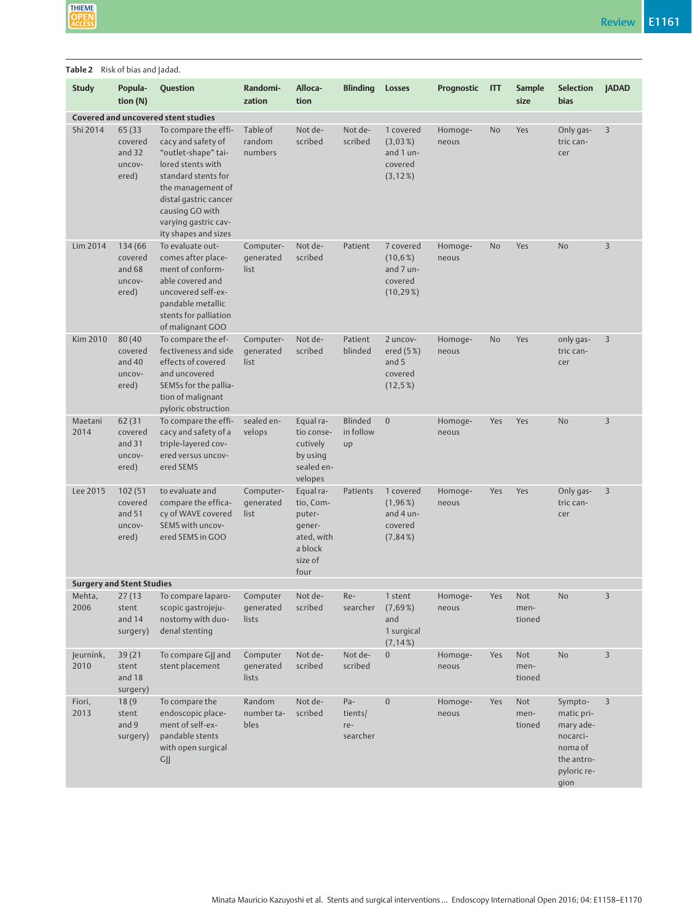|                   | Table 2 Risk of bias and Jadad.                   |                                                                                                                                                                                                                                |                                |                                                                                        |                                   |                                                                |                   |           |                       |                                                                                                |              |
|-------------------|---------------------------------------------------|--------------------------------------------------------------------------------------------------------------------------------------------------------------------------------------------------------------------------------|--------------------------------|----------------------------------------------------------------------------------------|-----------------------------------|----------------------------------------------------------------|-------------------|-----------|-----------------------|------------------------------------------------------------------------------------------------|--------------|
| <b>Study</b>      | Popula-<br>tion (N)                               | Question                                                                                                                                                                                                                       | Randomi-<br>zation             | Alloca-<br>tion                                                                        | <b>Blinding</b>                   | Losses                                                         | <b>Prognostic</b> | ITT       | <b>Sample</b><br>size | <b>Selection</b><br><b>bias</b>                                                                | <b>JADAD</b> |
|                   |                                                   | <b>Covered and uncovered stent studies</b>                                                                                                                                                                                     |                                |                                                                                        |                                   |                                                                |                   |           |                       |                                                                                                |              |
| Shi 2014          | 65 (33<br>covered<br>and $32$<br>uncov-<br>ered)  | To compare the effi-<br>cacy and safety of<br>"outlet-shape" tai-<br>lored stents with<br>standard stents for<br>the management of<br>distal gastric cancer<br>causing GO with<br>varying gastric cav-<br>ity shapes and sizes | Table of<br>random<br>numbers  | Not de-<br>scribed                                                                     | Not de-<br>scribed                | 1 covered<br>$(3,03\%)$<br>and 1 un-<br>covered<br>$(3, 12\%)$ | Homoge-<br>neous  | No        | Yes                   | Only gas-<br>tric can-<br>cer                                                                  | 3            |
| Lim 2014          | 134 (66<br>covered<br>and $68$<br>uncov-<br>ered) | To evaluate out-<br>comes after place-<br>ment of conform-<br>able covered and<br>uncovered self-ex-<br>pandable metallic<br>stents for palliation<br>of malignant GOO                                                         | Computer-<br>qenerated<br>list | Not de-<br>scribed                                                                     | Patient                           | 7 covered<br>$(10,6\%)$<br>and 7 un-<br>covered<br>(10, 29%)   | Homoge-<br>neous  | <b>No</b> | Yes                   | <b>No</b>                                                                                      | 3            |
| Kim 2010          | 80 (40<br>covered<br>and $40$<br>uncov-<br>ered)  | To compare the ef-<br>fectiveness and side<br>effects of covered<br>and uncovered<br>SEMSs for the pallia-<br>tion of malignant<br>pyloric obstruction                                                                         | Computer-<br>qenerated<br>list | Not de-<br>scribed                                                                     | Patient<br>blinded                | 2 uncov-<br>ered (5%)<br>and $5$<br>covered<br>$(12,5\%)$      | Homoge-<br>neous  | No        | Yes                   | only gas-<br>tric can-<br>cer                                                                  | 3            |
| Maetani<br>2014   | 62 (31<br>covered<br>and $31$<br>uncov-<br>ered)  | To compare the effi-<br>cacy and safety of a<br>triple-layered cov-<br>ered versus uncov-<br>ered SEMS                                                                                                                         | sealed en-<br>velops           | Equal ra-<br>tio conse-<br>cutively<br>by using<br>sealed en-<br>velopes               | Blinded<br>in follow<br>up        | $\boldsymbol{0}$                                               | Homoge-<br>neous  | Yes       | Yes                   | <b>No</b>                                                                                      | 3            |
| Lee 2015          | 102(51)<br>covered<br>and $51$<br>uncov-<br>ered) | to evaluate and<br>compare the effica-<br>cy of WAVE covered<br>SEMS with uncov-<br>ered SEMS in GOO                                                                                                                           | Computer-<br>qenerated<br>list | Equal ra-<br>tio, Com-<br>puter-<br>qener-<br>ated, with<br>a block<br>size of<br>four | Patients                          | 1 covered<br>$(1,96\%)$<br>and $4$ un-<br>covered<br>(7,84%)   | Homoge-<br>neous  | Yes       | Yes                   | Only gas-<br>tric can-<br>cer                                                                  | 3            |
|                   | <b>Surgery and Stent Studies</b>                  |                                                                                                                                                                                                                                |                                |                                                                                        |                                   |                                                                |                   |           |                       |                                                                                                |              |
| Mehta,<br>2006    | 27(13)<br>stent<br>and 14<br>surgery)             | To compare laparo-<br>scopic gastrojeju-<br>nostomy with duo-<br>denal stenting                                                                                                                                                | Computer<br>qenerated<br>lists | Not de-<br>scribed                                                                     | Re-<br>searcher                   | 1 stent<br>$(7,69\%)$<br>and<br>1 surgical<br>$(7, 14\%)$      | Homoge-<br>neous  | Yes       | Not<br>men-<br>tioned | No                                                                                             | 3            |
| Jeurnink,<br>2010 | 39(21)<br>stent<br>and 18<br>surgery)             | To compare GJJ and<br>stent placement                                                                                                                                                                                          | Computer<br>generated<br>lists | Not de-<br>scribed                                                                     | Not de-<br>scribed                | $\mathbf 0$                                                    | Homoge-<br>neous  | Yes       | Not<br>men-<br>tioned | <b>No</b>                                                                                      | 3            |
| Fiori,<br>2013    | 18(9<br>stent<br>and 9<br>surgery)                | To compare the<br>endoscopic place-<br>ment of self-ex-<br>pandable stents<br>with open surgical<br>GJJ                                                                                                                        | Random<br>number ta-<br>bles   | Not de-<br>scribed                                                                     | Pa-<br>tients/<br>re-<br>searcher | $\mathbf{0}$                                                   | Homoge-<br>neous  | Yes       | Not<br>men-<br>tioned | Sympto-<br>matic pri-<br>mary ade-<br>nocarci-<br>noma of<br>the antro-<br>pyloric re-<br>gion | 3            |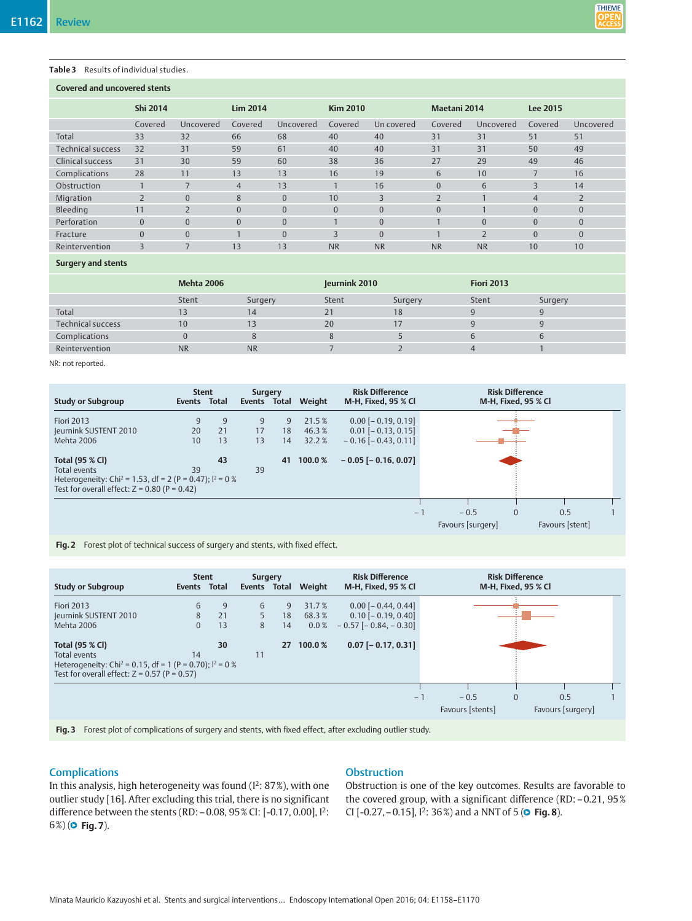

#### Table 3 Results of individual studies.

|                   | Shi 2014       |                | Lim 2014       |              | <b>Kim 2010</b> |              | <b>Maetani 2014</b> |                | Lee 2015       |                |
|-------------------|----------------|----------------|----------------|--------------|-----------------|--------------|---------------------|----------------|----------------|----------------|
|                   | Covered        | Uncovered      | Covered        | Uncovered    | Covered         | Un covered   | Covered             | Uncovered      | Covered        | Uncovered      |
| Total             | 33             | 32             | 66             | 68           | 40              | 40           | 31                  | 31             | 51             | 51             |
| Technical success | 32             | 31             | 59             | 61           | 40              | 40           | 31                  | 31             | 50             | 49             |
| Clinical success  | 31             | 30             | 59             | 60           | 38              | 36           | 27                  | 29             | 49             | 46             |
| Complications     | 28             | 11             | 13             | 13           | 16              | 19           | 6                   | 10             |                | 16             |
| Obstruction       |                |                | $\overline{4}$ | 13           |                 | 16           | $\mathbf{0}$        | 6              | 3              | 14             |
| Migration         | $\overline{2}$ | $\Omega$       | 8              | $\mathbf{0}$ | 10              | 3            | $\overline{2}$      |                | $\overline{4}$ | $\overline{2}$ |
| Bleeding          | 11             | $\overline{2}$ | $\mathbf{0}$   | $\mathbf{0}$ | $\mathbf{0}$    | $\mathbf{0}$ | $\Omega$            |                | $\Omega$       | $\mathbf{0}$   |
| Perforation       | $\Omega$       | $\Omega$       | $\Omega$       | $\mathbf{0}$ |                 | $\Omega$     |                     | $\Omega$       | $\Omega$       | $\mathbf{0}$   |
| Fracture          | $\Omega$       | $\Omega$       |                | $\Omega$     | 3               | $\Omega$     |                     | $\overline{2}$ | $\Omega$       | $\mathbf{0}$   |
| Reintervention    | 3              |                | 13             | 13           | <b>NR</b>       | <b>NR</b>    | <b>NR</b>           | <b>NR</b>      | 10             | 10             |

#### Surgery and stents

|                   | <b>Mehta 2006</b> |           | Jeurnink 2010 |         | <b>Fiori 2013</b> |         |  |
|-------------------|-------------------|-----------|---------------|---------|-------------------|---------|--|
|                   | Stent             | Surgery   | Stent         | Surgery | Stent             | Surgery |  |
| Total             |                   | 14        | 21            | 18      |                   | q       |  |
| Technical success | 10                | 13        | 20            |         |                   | q       |  |
| Complications     |                   | $\Omega$  | 8             |         |                   |         |  |
| Reintervention    | <b>NR</b>         | <b>NR</b> |               |         |                   |         |  |

NR: not reported.

| <b>Study or Subgroup</b>                                                                                                                                           | <b>Stent</b><br>Events Total |               | <b>Surgery</b><br>Events Total |               | Weight                   | <b>Risk Difference</b><br>M-H, Fixed, 95 % Cl                                  |                             | <b>Risk Difference</b><br>M-H, Fixed, 95 % Cl |                        |  |
|--------------------------------------------------------------------------------------------------------------------------------------------------------------------|------------------------------|---------------|--------------------------------|---------------|--------------------------|--------------------------------------------------------------------------------|-----------------------------|-----------------------------------------------|------------------------|--|
| <b>Fiori 2013</b><br>Jeurnink SUSTENT 2010<br><b>Mehta 2006</b>                                                                                                    | 9<br>20<br>10                | 9<br>21<br>13 | 9<br>17<br>13                  | 9<br>18<br>14 | 21.5 %<br>46.3%<br>32.2% | $0.00$ [ $-0.19, 0.19$ ]<br>$0.01$ [- 0.13, 0.15]<br>$-0.16$ [ $-0.43$ , 0.11] |                             |                                               |                        |  |
| <b>Total (95 % Cl)</b><br>Total events<br>Heterogeneity: Chi <sup>2</sup> = 1.53, df = 2 (P = 0.47); $l^2$ = 0 %<br>Test for overall effect: $Z = 0.80$ (P = 0.42) | 39                           | 43            | 39                             | 41            | 100.0%                   | $-0.05$ [ $-0.16, 0.07$ ]                                                      |                             |                                               |                        |  |
|                                                                                                                                                                    |                              |               |                                |               |                          | $-1$                                                                           | $-0.5$<br>Favours [surgery] | $\mathbf{0}$                                  | 0.5<br>Favours [stent] |  |

Fig. 2 Forest plot of technical success of surgery and stents, with fixed effect.

| <b>Study or Subgroup</b>                                               | <b>Stent</b><br>Events Total |    | <b>Surgery</b><br>Events Total |    | Weight | <b>Risk Difference</b><br>M-H, Fixed, 95 % Cl |                  | <b>Risk Difference</b><br>M-H, Fixed, 95 % Cl |  |
|------------------------------------------------------------------------|------------------------------|----|--------------------------------|----|--------|-----------------------------------------------|------------------|-----------------------------------------------|--|
| <b>Fiori 2013</b>                                                      | 6                            | 9  | 6                              | 9  | 31.7%  | $0.00$ [- 0.44, 0.44]                         |                  |                                               |  |
| Jeurnink SUSTENT 2010                                                  | 8                            | 21 | 5                              | 18 | 68.3%  | $0.10$ [- 0.19, 0.40]                         |                  |                                               |  |
| Mehta 2006                                                             | $\Omega$                     | 13 | 8                              | 14 | 0.0 %  | $-0.57$ [ $-0.84$ , $-0.30$ ]                 |                  |                                               |  |
| Total (95 % Cl)                                                        |                              | 30 |                                | 27 | 100.0% | $0.07$ [- 0.17, 0.31]                         |                  |                                               |  |
| Total events                                                           | 14                           |    | 11                             |    |        |                                               |                  |                                               |  |
| Heterogeneity: Chi <sup>2</sup> = 0.15, df = 1 (P = 0.70); $l^2$ = 0 % |                              |    |                                |    |        |                                               |                  |                                               |  |
| Test for overall effect: $Z = 0.57$ (P = 0.57)                         |                              |    |                                |    |        |                                               |                  |                                               |  |
|                                                                        |                              |    |                                |    |        |                                               |                  |                                               |  |
|                                                                        |                              |    |                                |    |        | - 1                                           | $-0.5$           | $\mathbf{0}$<br>0.5                           |  |
|                                                                        |                              |    |                                |    |        |                                               | Favours [stents] | Favours [surgery]                             |  |
|                                                                        |                              |    |                                |    |        |                                               |                  |                                               |  |

Fig. 3 Forest plot of complications of surgery and stents, with fixed effect, after excluding outlier study.

#### **Complications**

In this analysis, high heterogeneity was found  $(1^2: 87\%)$ , with one outlier study [16]. After excluding this trial, there is no significant difference between the stents (RD: -0.08, 95% CI: [-0.17, 0.00],  $I^2$ : 6%) (O Fig. 7).

#### **Obstruction**

Obstruction is one of the key outcomes. Results are favorable to the covered group, with a significant difference (RD: - 0.21, 95% CI  $[-0.27, -0.15]$ ,  $1^2$ : 36%) and a NNT of 5 ( $\circ$  **Fig.8**).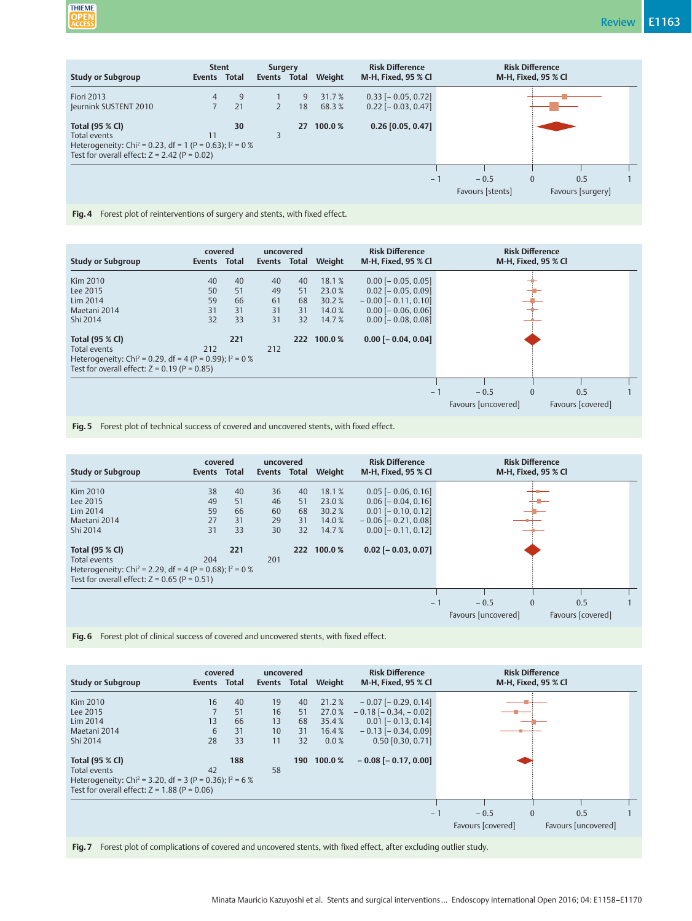| <b>Study or Subgroup</b>                                                                                                                                    | <b>Stent</b><br>Events Total |         | Surgery<br>Events Total |         | Weight         | <b>Risk Difference</b><br>M-H, Fixed, 95 % Cl    |                            | <b>Risk Difference</b><br>M-H, Fixed, 95 % Cl |  |
|-------------------------------------------------------------------------------------------------------------------------------------------------------------|------------------------------|---------|-------------------------|---------|----------------|--------------------------------------------------|----------------------------|-----------------------------------------------|--|
| <b>Fiori 2013</b><br>Jeurnink SUSTENT 2010                                                                                                                  | 4                            | 9<br>21 |                         | 9<br>18 | 31.7%<br>68.3% | $0.33$ [ $-0.05, 0.72$ ]<br>$0.22$ [-0.03, 0.47] |                            |                                               |  |
| Total (95 % Cl)<br>Total events<br>Heterogeneity: Chi <sup>2</sup> = 0.23, df = 1 (P = 0.63); $l^2$ = 0 %<br>Test for overall effect: $Z = 2.42$ (P = 0.02) | 11                           | 30      | 3                       | 27      | 100.0%         | $0.26$ [0.05, 0.47]                              |                            |                                               |  |
|                                                                                                                                                             |                              |         |                         |         |                | $-1$                                             | $-0.5$<br>Favours [stents] | $\mathbf{0}$<br>0.5<br>Favours [surgery]      |  |

Fig. 4 Forest plot of reinterventions of surgery and stents, with fixed effect.

| <b>Study or Subgroup</b>                                                                                                                 | covered<br>Events Total |                      | uncovered<br>Events Total |                      | Weight                            | <b>Risk Difference</b><br>M-H, Fixed, 95 % Cl                                                              | <b>Risk Difference</b><br>M-H, Fixed, 95 % Cl                                 |
|------------------------------------------------------------------------------------------------------------------------------------------|-------------------------|----------------------|---------------------------|----------------------|-----------------------------------|------------------------------------------------------------------------------------------------------------|-------------------------------------------------------------------------------|
| Kim 2010<br>Lee 2015<br>Lim 2014<br>Maetani 2014                                                                                         | 40<br>50<br>59<br>31    | 40<br>51<br>66<br>31 | 40<br>49<br>61<br>31      | 40<br>51<br>68<br>31 | 18.1%<br>23.0%<br>30.2%<br>14.0 % | $0.00$ [ $-0.05, 0.05$ ]<br>$0.02$ [- 0.05, 0.09]<br>$-0.00$ [ $-0.11, 0.10$ ]<br>$0.00$ [ $-0.06, 0.06$ ] |                                                                               |
| Shi 2014<br>Total (95 % Cl)                                                                                                              | 32                      | 33<br>221            | 31                        | 32<br>222            | 14.7%<br>100.0%                   | $0.00$ [ $-0.08, 0.08$ ]<br>$0.00$ [- 0.04, 0.04]                                                          |                                                                               |
| Total events<br>Heterogeneity: Chi <sup>2</sup> = 0.29, df = 4 (P = 0.99); $1^2$ = 0 %<br>Test for overall effect: $Z = 0.19$ (P = 0.85) | 212                     |                      | 212                       |                      |                                   |                                                                                                            |                                                                               |
|                                                                                                                                          |                         |                      |                           |                      |                                   |                                                                                                            | 0.5<br>$\Omega$<br>$-0.5$<br>$-1$<br>Favours [uncovered]<br>Favours [covered] |

Fig. 5 Forest plot of technical success of covered and uncovered stents, with fixed effect.

| <b>Study or Subgroup</b>                                                                                                                                    | covered<br>Events Total    |                            | uncovered<br>Events Total  |                            | Weight                                    | <b>Risk Difference</b><br>M-H, Fixed, 95 % Cl                                                                                    |                               | <b>Risk Difference</b><br>M-H, Fixed, 95 % Cl |                          |
|-------------------------------------------------------------------------------------------------------------------------------------------------------------|----------------------------|----------------------------|----------------------------|----------------------------|-------------------------------------------|----------------------------------------------------------------------------------------------------------------------------------|-------------------------------|-----------------------------------------------|--------------------------|
| Kim 2010<br>Lee 2015<br>Lim 2014<br>Maetani 2014<br>Shi 2014                                                                                                | 38<br>49<br>59<br>27<br>31 | 40<br>51<br>66<br>31<br>33 | 36<br>46<br>60<br>29<br>30 | 40<br>51<br>68<br>31<br>32 | 18.1%<br>23.0%<br>30.2%<br>14.0%<br>14.7% | $0.05$ [- 0.06, 0.16]<br>$0.06$ [ $-0.04$ , 0.16]<br>$0.01$ [- 0.10, 0.12]<br>$-0.06$ [ $-0.21, 0.08$ ]<br>$0.00$ [- 0.11, 0.12] |                               |                                               |                          |
| Total (95 % Cl)<br>Total events<br>Heterogeneity: Chi <sup>2</sup> = 2.29, df = 4 (P = 0.68); $1^2$ = 0 %<br>Test for overall effect: $Z = 0.65$ (P = 0.51) | 204                        | 221                        | 201                        | 222                        | 100.0%                                    | $0.02$ [- 0.03, 0.07]                                                                                                            |                               |                                               |                          |
|                                                                                                                                                             |                            |                            |                            |                            |                                           | $-$                                                                                                                              | $-0.5$<br>Favours [uncovered] | $\overline{0}$                                | 0.5<br>Favours [covered] |

Fig. 6 Forest plot of clinical success of covered and uncovered stents, with fixed effect.

| <b>Study or Subgroup</b>                                                                                                                                           | covered<br>Events Total |                            | uncovered<br>Events Total  |                            | Weight                                     | <b>Risk Difference</b><br>M-H, Fixed, 95 % Cl                                                                                          | <b>Risk Difference</b><br>M-H, Fixed, 95 % Cl                                |
|--------------------------------------------------------------------------------------------------------------------------------------------------------------------|-------------------------|----------------------------|----------------------------|----------------------------|--------------------------------------------|----------------------------------------------------------------------------------------------------------------------------------------|------------------------------------------------------------------------------|
| Kim 2010<br>Lee 2015<br>Lim 2014<br>Maetani 2014<br>Shi 2014                                                                                                       | 16<br>13<br>6<br>28     | 40<br>51<br>66<br>31<br>33 | 19<br>16<br>13<br>10<br>11 | 40<br>51<br>68<br>31<br>32 | 21.2 %<br>27.0%<br>35.4%<br>16.4%<br>0.0 % | $-0.07$ [ $-0.29, 0.14$ ]<br>$-0.18$ [ $-0.34$ , $-0.02$ ]<br>$0.01$ [-0.13, 0.14]<br>$-0.13$ [ $-0.34$ , 0.09]<br>$0.50$ [0.30, 0.71] |                                                                              |
| Total (95 % Cl)<br><b>Total events</b><br>Heterogeneity: Chi <sup>2</sup> = 3.20, df = 3 (P = 0.36); $1^2$ = 6 %<br>Test for overall effect: $Z = 1.88$ (P = 0.06) | 42                      | 188                        | 58                         | 190                        | 100.0%                                     | $-0.08$ [ $-0.17, 0.00$ ]                                                                                                              |                                                                              |
|                                                                                                                                                                    |                         |                            |                            |                            |                                            |                                                                                                                                        | $-0.5$<br>$\Omega$<br>0.5<br>- 1<br>Favours [covered]<br>Favours [uncovered] |

Fig. 7 Forest plot of complications of covered and uncovered stents, with fixed effect, after excluding outlier study.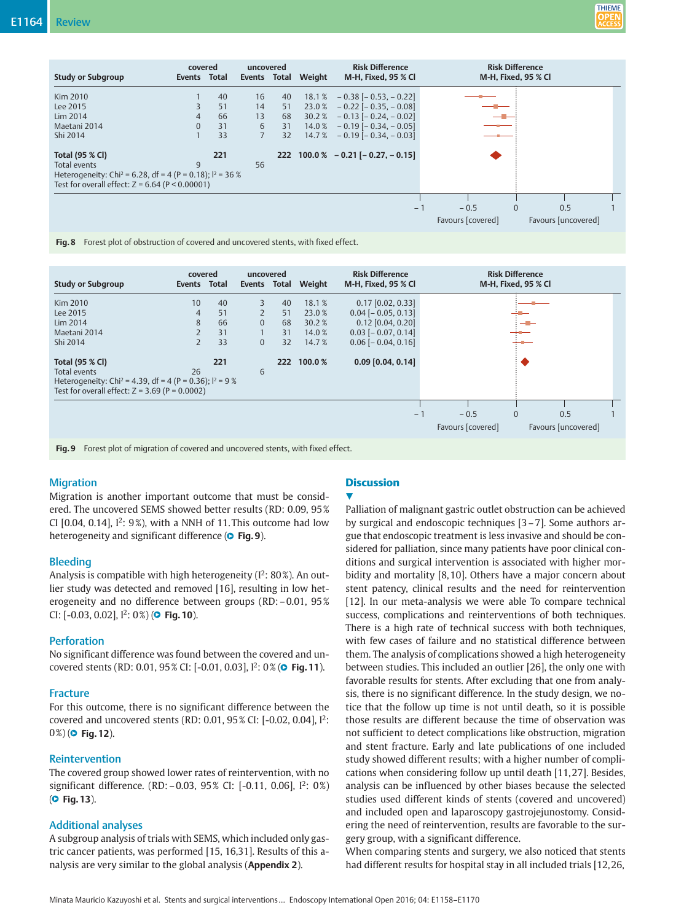| <b>Study or Subgroup</b>                                                                                                                                        | covered<br>Events Total |                            | uncovered<br>Events Total |                            | Weight                                       | <b>Risk Difference</b><br>M-H, Fixed, 95 % Cl                                                                                                                     | <b>Risk Difference</b><br>M-H, Fixed, 95 % Cl |                                            |
|-----------------------------------------------------------------------------------------------------------------------------------------------------------------|-------------------------|----------------------------|---------------------------|----------------------------|----------------------------------------------|-------------------------------------------------------------------------------------------------------------------------------------------------------------------|-----------------------------------------------|--------------------------------------------|
| Kim 2010<br>Lee 2015<br>Lim 2014<br>Maetani 2014<br>Shi 2014                                                                                                    | 4<br>$\Omega$           | 40<br>51<br>66<br>31<br>33 | 16<br>14<br>13<br>6       | 40<br>51<br>68<br>31<br>32 | 18.1%<br>23.0%<br>30.2%<br>$14.0\%$<br>14.7% | $-0.38$ [ $-0.53$ , $-0.22$ ]<br>$-0.22$ [ $-0.35$ , $-0.08$ ]<br>$-0.13$ [ $-0.24$ , $-0.02$ ]<br>$-0.19$ [ $-0.34$ , $-0.05$ ]<br>$-0.19$ [ $-0.34$ , $-0.03$ ] | $\frac{-1}{\sqrt{2}}$                         |                                            |
| Total (95 % Cl)<br>Total events<br>Heterogeneity: Chi <sup>2</sup> = 6.28, df = 4 (P = 0.18); $l^2$ = 36 %<br>Test for overall effect: $Z = 6.64$ (P < 0.00001) | $\mathsf{q}$            | 221                        | 56                        |                            |                                              | $222$ 100.0 % - 0.21 [- 0.27, - 0.15]                                                                                                                             |                                               |                                            |
|                                                                                                                                                                 |                         |                            |                           |                            |                                              | - 1                                                                                                                                                               | $-0.5$<br>Favours [covered]                   | $\mathbf{0}$<br>0.5<br>Favours [uncovered] |

Fig. 8 Forest plot of obstruction of covered and uncovered stents, with fixed effect.

| <b>Study or Subgroup</b>                                               | covered<br>Events | <b>Total</b> | uncovered<br>Events Total |    | Weight      | <b>Risk Difference</b><br>M-H, Fixed, 95 % Cl | <b>Risk Difference</b><br>M-H, Fixed, 95 % Cl |
|------------------------------------------------------------------------|-------------------|--------------|---------------------------|----|-------------|-----------------------------------------------|-----------------------------------------------|
| Kim 2010                                                               | 10                | 40           | 3                         | 40 | 18.1%       | $0.17$ [0.02, 0.33]                           |                                               |
| Lee 2015                                                               | 4                 | 51           | $\overline{2}$            | 51 | 23.0%       | $0.04$ [ $-0.05, 0.13$ ]                      |                                               |
| Lim 2014                                                               | 8                 | 66           | $\mathbf{0}$              | 68 | 30.2%       | $0.12$ [0.04, 0.20]                           |                                               |
| Maetani 2014                                                           |                   | 31           |                           | 31 | 14.0%       | $0.03$ [ $-0.07, 0.14$ ]                      |                                               |
| Shi 2014                                                               |                   | 33           | $\mathbf{0}$              | 32 | 14.7%       | $0.06$ [ $-0.04$ , 0.16]                      |                                               |
| Total (95 % Cl)                                                        |                   | 221          |                           |    | 222 100.0 % | $0.09$ [0.04, 0.14]                           |                                               |
| Total events                                                           | 26                |              | 6                         |    |             |                                               |                                               |
| Heterogeneity: Chi <sup>2</sup> = 4.39, df = 4 (P = 0.36); $l^2$ = 9 % |                   |              |                           |    |             |                                               |                                               |
| Test for overall effect: $Z = 3.69$ (P = 0.0002)                       |                   |              |                           |    |             |                                               |                                               |
|                                                                        |                   |              |                           |    |             |                                               |                                               |
|                                                                        |                   |              |                           |    |             | - 1                                           | $-0.5$<br>$\Omega$<br>0.5                     |
|                                                                        |                   |              |                           |    |             |                                               | Favours [uncovered]<br>Favours [covered]      |

Fig. 9 Forest plot of migration of covered and uncovered stents, with fixed effect.

#### **Migration**

Migration is another important outcome that must be considered. The uncovered SEMS showed better results (RD: 0.09, 95 % CI [0.04, 0.14],  $I^2$ : 9%), with a NNH of 11. This outcome had low heterogeneity and significant difference (**© Fig.9**).

#### Bleeding

Analysis is compatible with high heterogeneity  $(1^2: 80\%)$ . An outlier study was detected and removed [16], resulting in low heterogeneity and no difference between groups (RD:–0.01, 95 % CI: [-0.03, 0.02], I<sup>2</sup>: 0%) (**o Fig. 10**).

#### Perforation

No significant difference was found between the covered and uncovered stents (RD: 0.01, 95% CI: [-0.01, 0.03], I<sup>2</sup>: 0% (**© Fig. 11**).

#### Fracture

For this outcome, there is no significant difference between the covered and uncovered stents (RD: 0.01, 95 % CI: [-0.02, 0.04], I2:  $(0\%)$  (O Fig. 12).

#### Reintervention

The covered group showed lower rates of reintervention, with no significant difference. (RD: -0.03, 95% CI: [-0.11, 0.06],  $1^2$ : 0%)  $($  Fig. 13 $).$ 

#### Additional analyses

A subgroup analysis of trials with SEMS, which included only gastric cancer patients, was performed [15, 16,31]. Results of this analysis are very similar to the global analysis (Appendix 2).

#### **Discussion**

#### $\blacktriangledown$

Palliation of malignant gastric outlet obstruction can be achieved by surgical and endoscopic techniques [3–7]. Some authors argue that endoscopic treatment is less invasive and should be considered for palliation, since many patients have poor clinical conditions and surgical intervention is associated with higher morbidity and mortality [8, 10]. Others have a major concern about stent patency, clinical results and the need for reintervention [12]. In our meta-analysis we were able To compare technical success, complications and reinterventions of both techniques. There is a high rate of technical success with both techniques, with few cases of failure and no statistical difference between them. The analysis of complications showed a high heterogeneity between studies. This included an outlier [26], the only one with favorable results for stents. After excluding that one from analysis, there is no significant difference. In the study design, we notice that the follow up time is not until death, so it is possible those results are different because the time of observation was not sufficient to detect complications like obstruction, migration and stent fracture. Early and late publications of one included study showed different results; with a higher number of complications when considering follow up until death [11, 27]. Besides, analysis can be influenced by other biases because the selected studies used different kinds of stents (covered and uncovered) and included open and laparoscopy gastrojejunostomy. Considering the need of reintervention, results are favorable to the surgery group, with a significant difference.

When comparing stents and surgery, we also noticed that stents had different results for hospital stay in all included trials [12, 26,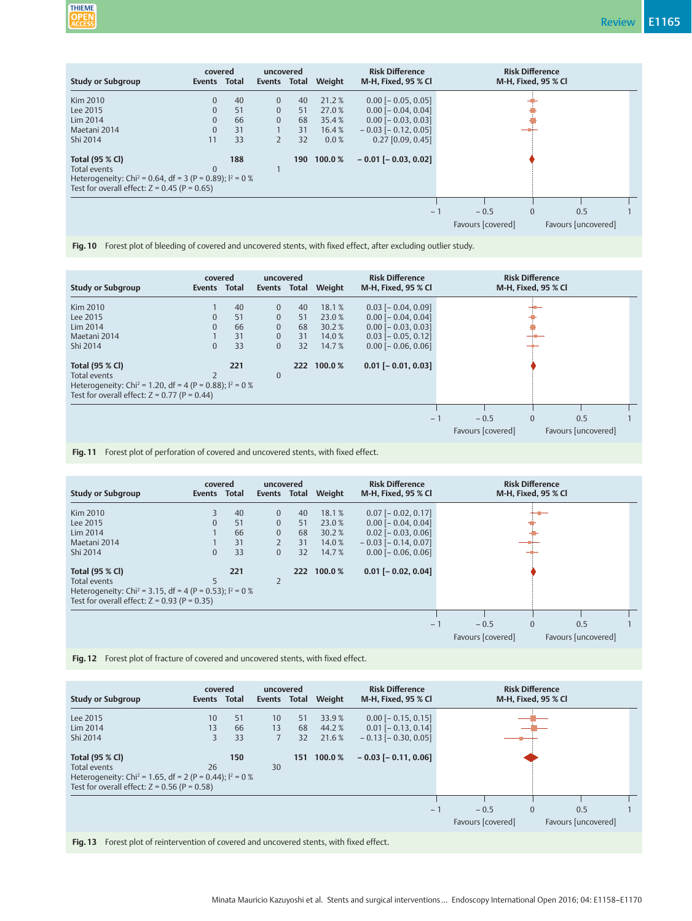| <b>Study or Subgroup</b>                                               | covered<br>Events Total |     | uncovered<br>Events Total |     | Weight | <b>Risk Difference</b><br>M-H, Fixed, 95 % Cl |      | <b>Risk Difference</b><br>M-H, Fixed, 95 % Cl |          |                     |  |
|------------------------------------------------------------------------|-------------------------|-----|---------------------------|-----|--------|-----------------------------------------------|------|-----------------------------------------------|----------|---------------------|--|
| Kim 2010                                                               | $\Omega$                | 40  | $\Omega$                  | 40  | 21.2%  | $0.00$ [ $-0.05, 0.05$ ]                      |      |                                               |          |                     |  |
| Lee 2015                                                               | $\mathbf{0}$            | 51  | $\mathbf{0}$              | 51  | 27.0 % | $0.00$ [ $-0.04$ , 0.04]                      |      |                                               |          |                     |  |
| Lim 2014                                                               | $\Omega$                | 66  | $\overline{0}$            | 68  | 35.4%  | $0.00$ [ $-0.03, 0.03$ ]                      |      |                                               |          |                     |  |
| Maetani 2014                                                           | $\Omega$                | 31  |                           | 31  | 16.4%  | $-0.03$ [ $-0.12, 0.05$ ]                     |      |                                               |          |                     |  |
| Shi 2014                                                               | 11                      | 33  |                           | 32  | 0.0 %  | $0.27$ [0.09, 0.45]                           |      |                                               |          |                     |  |
| Total (95 % Cl)                                                        |                         | 188 |                           | 190 | 100.0% | $-0.01$ [ $-0.03, 0.02$ ]                     |      |                                               |          |                     |  |
| Total events                                                           | $\Omega$                |     |                           |     |        |                                               |      |                                               |          |                     |  |
| Heterogeneity: Chi <sup>2</sup> = 0.64, df = 3 (P = 0.89); $l^2$ = 0 % |                         |     |                           |     |        |                                               |      |                                               |          |                     |  |
| Test for overall effect: $Z = 0.45$ (P = 0.65)                         |                         |     |                           |     |        |                                               |      |                                               |          |                     |  |
|                                                                        |                         |     |                           |     |        |                                               |      |                                               |          |                     |  |
|                                                                        |                         |     |                           |     |        |                                               | $-1$ | $-0.5$                                        | $\Omega$ | 0.5                 |  |
|                                                                        |                         |     |                           |     |        |                                               |      | Favours [covered]                             |          | Favours [uncovered] |  |

Fig. 10 Forest plot of bleeding of covered and uncovered stents, with fixed effect, after excluding outlier study.

| <b>Study or Subgroup</b>                                               | covered<br>Events | <b>Total</b> | uncovered<br>Events Total |    | Weight      | <b>Risk Difference</b><br>M-H, Fixed, 95 % Cl | <b>Risk Difference</b><br>M-H, Fixed, 95 % Cl |              |                     |
|------------------------------------------------------------------------|-------------------|--------------|---------------------------|----|-------------|-----------------------------------------------|-----------------------------------------------|--------------|---------------------|
| Kim 2010                                                               |                   | 40           | $\mathbf{0}$              | 40 | 18.1%       | $0.03$ [ $-0.04, 0.09$ ]                      |                                               |              |                     |
| Lee 2015                                                               | $\Omega$          | 51           | $\mathbf{0}$              | 51 | 23.0 %      | $0.00$ [ $-0.04$ , 0.04]                      |                                               |              |                     |
| Lim 2014                                                               | $\Omega$          | 66           | $\mathbf{0}$              | 68 | 30.2%       | $0.00$ [- 0.03, 0.03]                         |                                               |              |                     |
| Maetani 2014                                                           |                   | 31           | $\mathbf{0}$              | 31 | 14.0 %      | $0.03$ [- 0.05, 0.12]                         |                                               |              |                     |
| Shi 2014                                                               | $\mathbf{0}$      | 33           | $\mathbf{0}$              | 32 | 14.7%       | $0.00$ [ $-0.06, 0.06$ ]                      |                                               |              |                     |
| Total (95 % Cl)                                                        |                   | 221          |                           |    | 222 100.0 % | $0.01$ [- 0.01, 0.03]                         |                                               |              |                     |
| Total events                                                           |                   |              | $\mathbf{0}$              |    |             |                                               |                                               |              |                     |
| Heterogeneity: Chi <sup>2</sup> = 1.20, df = 4 (P = 0.88); $1^2$ = 0 % |                   |              |                           |    |             |                                               |                                               |              |                     |
| Test for overall effect: $Z = 0.77$ (P = 0.44)                         |                   |              |                           |    |             |                                               |                                               |              |                     |
|                                                                        |                   |              |                           |    |             |                                               |                                               |              |                     |
|                                                                        |                   |              |                           |    |             | $-1$                                          | $-0.5$                                        | $\mathbf{0}$ | 0.5                 |
|                                                                        |                   |              |                           |    |             |                                               | Favours [covered]                             |              | Favours [uncovered] |

Fig. 11 Forest plot of perforation of covered and uncovered stents, with fixed effect.

| <b>Study or Subgroup</b>                                               | covered<br>Events Total |     | uncovered<br>Events Total |    | Weight      | <b>Risk Difference</b><br>M-H, Fixed, 95 % Cl |                   | <b>Risk Difference</b><br>M-H, Fixed, 95 % Cl |                     |  |
|------------------------------------------------------------------------|-------------------------|-----|---------------------------|----|-------------|-----------------------------------------------|-------------------|-----------------------------------------------|---------------------|--|
| Kim 2010                                                               | 3                       | 40  | $\mathbf{0}$              | 40 | 18.1%       | $0.07$ [ $-0.02, 0.17$ ]                      |                   |                                               |                     |  |
| Lee 2015                                                               | $\Omega$                | 51  | $\mathbf{0}$              | 51 | 23.0 %      | $0.00$ [- 0.04, 0.04]                         |                   |                                               |                     |  |
| Lim 2014                                                               |                         | 66  | $\overline{0}$            | 68 | 30.2%       | $0.02$ [- 0.03, 0.06]                         |                   |                                               |                     |  |
| Maetani 2014                                                           |                         | 31  |                           | 31 | 14.0%       | $-0.03$ [ $-0.14, 0.07$ ]                     |                   |                                               |                     |  |
| Shi 2014                                                               | $\Omega$                | 33  | $\mathbf{0}$              | 32 | 14.7%       | $0.00$ [ $-0.06, 0.06$ ]                      |                   |                                               |                     |  |
| Total (95 % Cl)                                                        |                         | 221 |                           |    | 222 100.0 % | $0.01$ [- 0.02, 0.04]                         |                   |                                               |                     |  |
| Total events                                                           |                         |     | $\overline{2}$            |    |             |                                               |                   |                                               |                     |  |
| Heterogeneity: Chi <sup>2</sup> = 3.15, df = 4 (P = 0.53); $1^2$ = 0 % |                         |     |                           |    |             |                                               |                   |                                               |                     |  |
| Test for overall effect: $Z = 0.93$ (P = 0.35)                         |                         |     |                           |    |             |                                               |                   |                                               |                     |  |
|                                                                        |                         |     |                           |    |             |                                               |                   |                                               |                     |  |
|                                                                        |                         |     |                           |    |             | $-1$                                          | $-0.5$            | $\mathbf{0}$                                  | 0.5                 |  |
|                                                                        |                         |     |                           |    |             |                                               | Favours [covered] |                                               | Favours [uncovered] |  |

Fig. 12 Forest plot of fracture of covered and uncovered stents, with fixed effect.

| <b>Study or Subgroup</b>                                                          | covered<br>Events Total                                                                                    |                | uncovered<br>Events Total |                | Weight                   | <b>Risk Difference</b><br>M-H, Fixed, 95 % Cl                                 | <b>Risk Difference</b><br>M-H, Fixed, 95 % Cl                                    |  |
|-----------------------------------------------------------------------------------|------------------------------------------------------------------------------------------------------------|----------------|---------------------------|----------------|--------------------------|-------------------------------------------------------------------------------|----------------------------------------------------------------------------------|--|
| Lee 2015<br>Lim 2014<br>Shi 2014                                                  | 10<br>13<br>3                                                                                              | 51<br>66<br>33 | 10 <sup>°</sup><br>13     | 51<br>68<br>32 | 33.9%<br>44.2%<br>21.6 % | $0.00$ [ $-0.15, 0.15$ ]<br>$0.01$ [-0.13, 0.14]<br>$-0.13$ [ $-0.30, 0.05$ ] |                                                                                  |  |
| Total (95 % Cl)<br>Total events<br>Test for overall effect: $Z = 0.56$ (P = 0.58) | 100.0%<br>150<br>151<br>26<br>30<br>Heterogeneity: Chi <sup>2</sup> = 1.65, df = 2 (P = 0.44); $l^2$ = 0 % |                |                           |                |                          | $-0.03$ [ $-0.11, 0.06$ ]                                                     |                                                                                  |  |
|                                                                                   |                                                                                                            |                |                           |                |                          |                                                                               | $-0.5$<br>$\mathbf{0}$<br>0.5<br>- 1<br>Favours [uncovered]<br>Favours [covered] |  |

Fig. 13 Forest plot of reintervention of covered and uncovered stents, with fixed effect.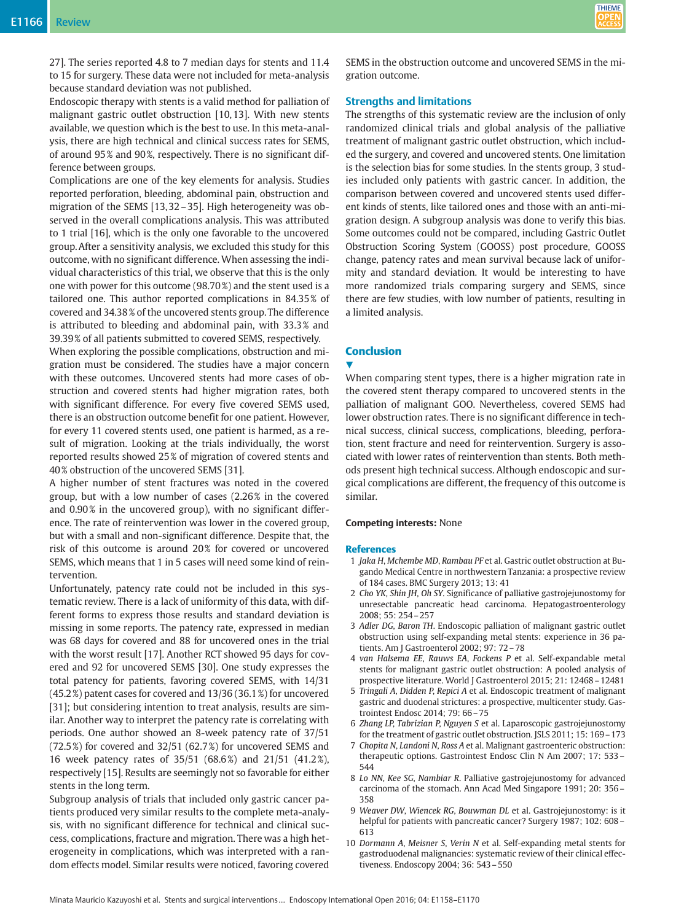27]. The series reported 4.8 to 7 median days for stents and 11.4 to 15 for surgery. These data were not included for meta-analysis because standard deviation was not published.

Endoscopic therapy with stents is a valid method for palliation of malignant gastric outlet obstruction [10, 13]. With new stents available, we question which is the best to use. In this meta-analysis, there are high technical and clinical success rates for SEMS, of around 95% and 90%, respectively. There is no significant difference between groups.

Complications are one of the key elements for analysis. Studies reported perforation, bleeding, abdominal pain, obstruction and migration of the SEMS [13, 32–35]. High heterogeneity was observed in the overall complications analysis. This was attributed to 1 trial [16], which is the only one favorable to the uncovered group. After a sensitivity analysis, we excluded this study for this outcome, with no significant difference. When assessing the individual characteristics of this trial, we observe that this is the only one with power for this outcome (98.70 %) and the stent used is a tailored one. This author reported complications in 84.35% of covered and 34.38 % of the uncovered stents group. The difference is attributed to bleeding and abdominal pain, with 33.3% and 39.39 % of all patients submitted to covered SEMS, respectively.

When exploring the possible complications, obstruction and migration must be considered. The studies have a major concern with these outcomes. Uncovered stents had more cases of obstruction and covered stents had higher migration rates, both with significant difference. For every five covered SEMS used, there is an obstruction outcome benefit for one patient. However, for every 11 covered stents used, one patient is harmed, as a result of migration. Looking at the trials individually, the worst reported results showed 25 % of migration of covered stents and 40 % obstruction of the uncovered SEMS [31].

A higher number of stent fractures was noted in the covered group, but with a low number of cases (2.26 % in the covered and 0.90% in the uncovered group), with no significant difference. The rate of reintervention was lower in the covered group, but with a small and non-significant difference. Despite that, the risk of this outcome is around 20% for covered or uncovered SEMS, which means that 1 in 5 cases will need some kind of reintervention.

Unfortunately, patency rate could not be included in this systematic review. There is a lack of uniformity of this data, with different forms to express those results and standard deviation is missing in some reports. The patency rate, expressed in median was 68 days for covered and 88 for uncovered ones in the trial with the worst result [17]. Another RCT showed 95 days for covered and 92 for uncovered SEMS [30]. One study expresses the total patency for patients, favoring covered SEMS, with 14/31 (45.2 %) patent cases for covered and 13/36 (36.1 %) for uncovered [31]; but considering intention to treat analysis, results are similar. Another way to interpret the patency rate is correlating with periods. One author showed an 8-week patency rate of 37/51 (72.5 %) for covered and 32/51 (62.7 %) for uncovered SEMS and 16 week patency rates of 35/51 (68.6 %) and 21/51 (41.2 %), respectively [15]. Results are seemingly not so favorable for either stents in the long term.

Subgroup analysis of trials that included only gastric cancer patients produced very similar results to the complete meta-analysis, with no significant difference for technical and clinical success, complications, fracture and migration. There was a high heterogeneity in complications, which was interpreted with a random effects model. Similar results were noticed, favoring covered

SEMS in the obstruction outcome and uncovered SEMS in the migration outcome.

#### Strengths and limitations

The strengths of this systematic review are the inclusion of only randomized clinical trials and global analysis of the palliative treatment of malignant gastric outlet obstruction, which included the surgery, and covered and uncovered stents. One limitation is the selection bias for some studies. In the stents group, 3 studies included only patients with gastric cancer. In addition, the comparison between covered and uncovered stents used different kinds of stents, like tailored ones and those with an anti-migration design. A subgroup analysis was done to verify this bias. Some outcomes could not be compared, including Gastric Outlet Obstruction Scoring System (GOOSS) post procedure, GOOSS change, patency rates and mean survival because lack of uniformity and standard deviation. It would be interesting to have more randomized trials comparing surgery and SEMS, since there are few studies, with low number of patients, resulting in a limited analysis.

#### Conclusion

### **V**

When comparing stent types, there is a higher migration rate in the covered stent therapy compared to uncovered stents in the palliation of malignant GOO. Nevertheless, covered SEMS had lower obstruction rates. There is no significant difference in technical success, clinical success, complications, bleeding, perforation, stent fracture and need for reintervention. Surgery is associated with lower rates of reintervention than stents. Both methods present high technical success. Although endoscopic and surgical complications are different, the frequency of this outcome is similar.

#### Competing interests: None

#### **References**

- 1 Jaka H, Mchembe MD, Rambau PF et al. Gastric outlet obstruction at Bugando Medical Centre in northwestern Tanzania: a prospective review of 184 cases. BMC Surgery 2013; 13: 41
- 2 Cho YK, Shin JH, Oh SY. Significance of palliative gastrojejunostomy for unresectable pancreatic head carcinoma. Hepatogastroenterology 2008; 55: 254–257
- 3 Adler DG, Baron TH. Endoscopic palliation of malignant gastric outlet obstruction using self-expanding metal stents: experience in 36 patients. Am J Gastroenterol 2002; 97: 72–78
- 4 van Halsema EE, Rauws EA, Fockens P et al. Self-expandable metal stents for malignant gastric outlet obstruction: A pooled analysis of prospective literature. World J Gastroenterol 2015; 21: 12468–12481
- 5 Tringali A, Didden P, Repici A et al. Endoscopic treatment of malignant gastric and duodenal strictures: a prospective, multicenter study. Gastrointest Endosc 2014; 79: 66–75
- 6 Zhang LP, Tabrizian P, Nguyen S et al. Laparoscopic gastrojejunostomy for the treatment of gastric outlet obstruction. JSLS 2011; 15: 169–173
- 7 Chopita N, Landoni N, Ross A et al. Malignant gastroenteric obstruction: therapeutic options. Gastrointest Endosc Clin N Am 2007; 17: 533– 544
- 8 Lo NN, Kee SG, Nambiar R. Palliative gastrojejunostomy for advanced carcinoma of the stomach. Ann Acad Med Singapore 1991; 20: 356– 358
- 9 Weaver DW, Wiencek RG, Bouwman DL et al. Gastrojejunostomy: is it helpful for patients with pancreatic cancer? Surgery 1987; 102: 608– 613
- 10 Dormann A, Meisner S, Verin N et al. Self-expanding metal stents for gastroduodenal malignancies: systematic review of their clinical effectiveness. Endoscopy 2004; 36: 543–550

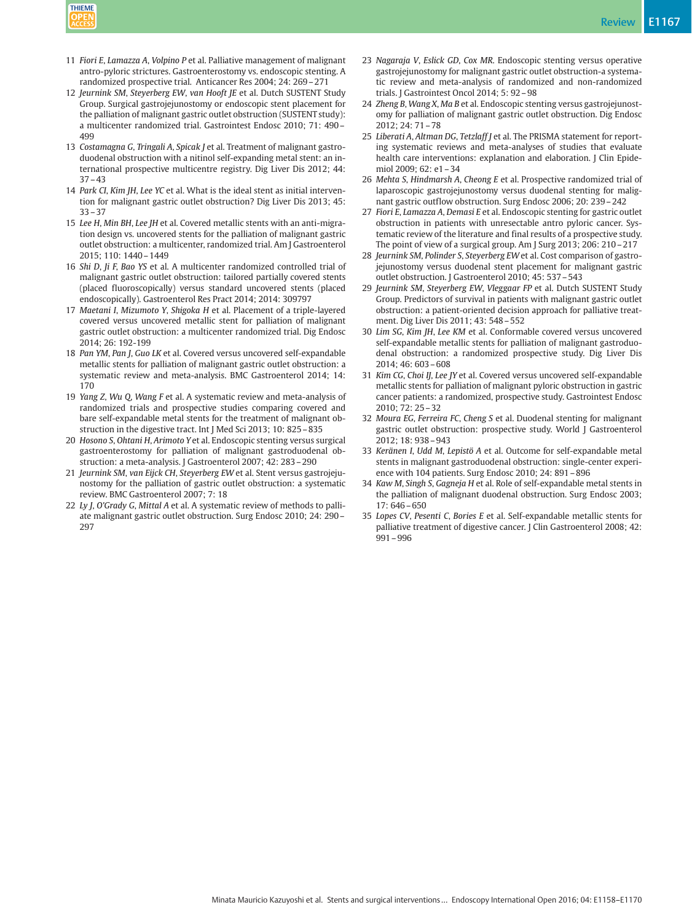

- 11 Fiori E, Lamazza A, Volpino P et al. Palliative management of malignant antro-pyloric strictures. Gastroenterostomy vs. endoscopic stenting. A randomized prospective trial. Anticancer Res 2004; 24: 269–271
- 12 Jeurnink SM, Steyerberg EW, van Hooft JE et al. Dutch SUSTENT Study Group. Surgical gastrojejunostomy or endoscopic stent placement for the palliation of malignant gastric outlet obstruction (SUSTENT study): a multicenter randomized trial. Gastrointest Endosc 2010; 71: 490– 499
- 13 Costamagna G, Tringali A, Spicak J et al. Treatment of malignant gastroduodenal obstruction with a nitinol self-expanding metal stent: an international prospective multicentre registry. Dig Liver Dis 2012; 44: 37–43
- 14 Park CI, Kim JH, Lee YC et al. What is the ideal stent as initial intervention for malignant gastric outlet obstruction? Dig Liver Dis 2013; 45: 33–37
- 15 Lee H, Min BH, Lee JH et al. Covered metallic stents with an anti-migration design vs. uncovered stents for the palliation of malignant gastric outlet obstruction: a multicenter, randomized trial. Am J Gastroenterol 2015; 110: 1440–1449
- 16 Shi D, Ji F, Bao YS et al. A multicenter randomized controlled trial of malignant gastric outlet obstruction: tailored partially covered stents (placed fluoroscopically) versus standard uncovered stents (placed endoscopically). Gastroenterol Res Pract 2014; 2014: 309797
- 17 Maetani I, Mizumoto Y, Shigoka H et al. Placement of a triple-layered covered versus uncovered metallic stent for palliation of malignant gastric outlet obstruction: a multicenter randomized trial. Dig Endosc 2014; 26: 192‐199
- 18 Pan YM, Pan J, Guo LK et al. Covered versus uncovered self-expandable metallic stents for palliation of malignant gastric outlet obstruction: a systematic review and meta-analysis. BMC Gastroenterol 2014; 14: 170
- 19 Yang Z, Wu Q, Wang F et al. A systematic review and meta-analysis of randomized trials and prospective studies comparing covered and bare self-expandable metal stents for the treatment of malignant obstruction in the digestive tract. Int J Med Sci 2013; 10: 825–835
- 20 Hosono S, Ohtani H, Arimoto Y et al. Endoscopic stenting versus surgical gastroenterostomy for palliation of malignant gastroduodenal obstruction: a meta-analysis. J Gastroenterol 2007; 42: 283–290
- 21 Jeurnink SM, van Eijck CH, Steyerberg EW et al. Stent versus gastrojejunostomy for the palliation of gastric outlet obstruction: a systematic review. BMC Gastroenterol 2007; 7: 18
- 22 Ly J, O'Grady G, Mittal A et al. A systematic review of methods to palliate malignant gastric outlet obstruction. Surg Endosc 2010; 24: 290– 297
- 23 Nagaraja V, Eslick GD, Cox MR. Endoscopic stenting versus operative gastrojejunostomy for malignant gastric outlet obstruction-a systematic review and meta-analysis of randomized and non-randomized trials. J Gastrointest Oncol 2014; 5: 92–98
- 24 Zheng B, Wang X, Ma B et al. Endoscopic stenting versus gastrojejunostomy for palliation of malignant gastric outlet obstruction. Dig Endosc 2012; 24: 71–78
- 25 Liberati A, Altman DG, Tetzlaff J et al. The PRISMA statement for reporting systematic reviews and meta-analyses of studies that evaluate health care interventions: explanation and elaboration. J Clin Epidemiol 2009; 62: e1–34
- 26 Mehta S, Hindmarsh A, Cheong E et al. Prospective randomized trial of laparoscopic gastrojejunostomy versus duodenal stenting for malignant gastric outflow obstruction. Surg Endosc 2006; 20: 239–242
- 27 Fiori E, Lamazza A, Demasi E et al. Endoscopic stenting for gastric outlet obstruction in patients with unresectable antro pyloric cancer. Systematic review of the literature and final results of a prospective study. The point of view of a surgical group. Am J Surg 2013; 206: 210–217
- 28 Jeurnink SM, Polinder S, Steyerberg EW et al. Cost comparison of gastrojejunostomy versus duodenal stent placement for malignant gastric outlet obstruction. J Gastroenterol 2010; 45: 537–543
- 29 Jeurnink SM, Steyerberg EW, Vleggaar FP et al. Dutch SUSTENT Study Group. Predictors of survival in patients with malignant gastric outlet obstruction: a patient-oriented decision approach for palliative treatment. Dig Liver Dis 2011; 43: 548–552
- 30 Lim SG, Kim JH, Lee KM et al. Conformable covered versus uncovered self‐expandable metallic stents for palliation of malignant gastroduodenal obstruction: a randomized prospective study. Dig Liver Dis 2014; 46: 603–608
- 31 Kim CG, Choi IJ, Lee JY et al. Covered versus uncovered self‐expandable metallic stents for palliation of malignant pyloric obstruction in gastric cancer patients: a randomized, prospective study. Gastrointest Endosc 2010; 72: 25–32
- 32 Moura EG, Ferreira FC, Cheng S et al. Duodenal stenting for malignant gastric outlet obstruction: prospective study. World J Gastroenterol 2012; 18: 938–943
- 33 Keränen I, Udd M, Lepistö A et al. Outcome for self-expandable metal stents in malignant gastroduodenal obstruction: single-center experience with 104 patients. Surg Endosc 2010; 24: 891–896
- 34 Kaw M, Singh S, Gagneja H et al. Role of self-expandable metal stents in the palliation of malignant duodenal obstruction. Surg Endosc 2003; 17: 646–650
- 35 Lopes CV, Pesenti C, Bories E et al. Self-expandable metallic stents for palliative treatment of digestive cancer. J Clin Gastroenterol 2008; 42: 991–996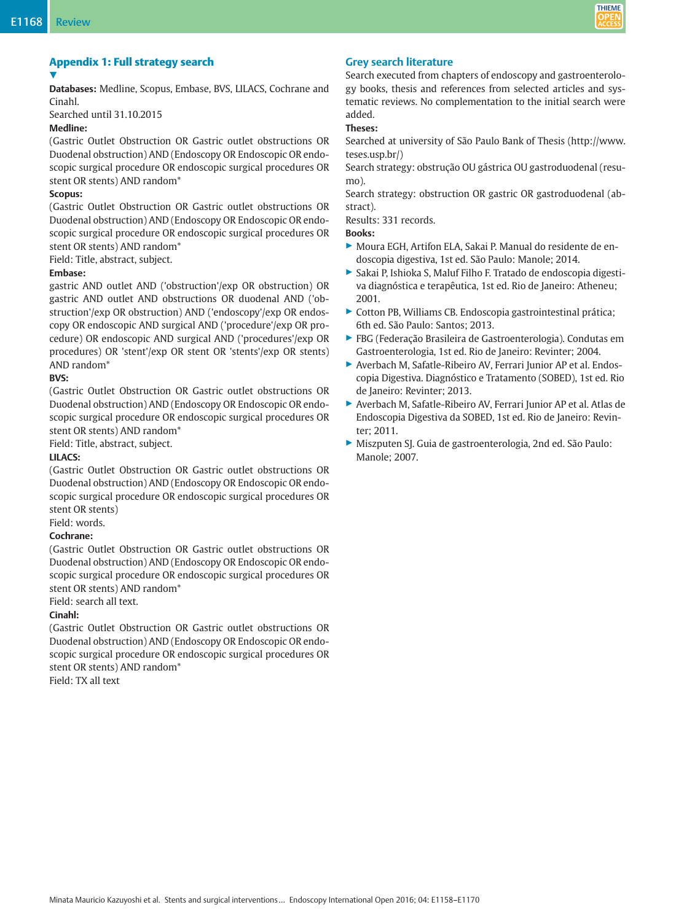

#### Appendix 1: Full strategy search

#### v,

Databases: Medline, Scopus, Embase, BVS, LILACS, Cochrane and Cinahl.

Searched until 31.10.2015

#### Medline:

(Gastric Outlet Obstruction OR Gastric outlet obstructions OR Duodenal obstruction) AND (Endoscopy OR Endoscopic OR endoscopic surgical procedure OR endoscopic surgical procedures OR stent OR stents) AND random\*

#### Scopus:

(Gastric Outlet Obstruction OR Gastric outlet obstructions OR Duodenal obstruction) AND (Endoscopy OR Endoscopic OR endoscopic surgical procedure OR endoscopic surgical procedures OR stent OR stents) AND random\*

Field: Title, abstract, subject.

#### Embase:

gastric AND outlet AND ('obstruction'/exp OR obstruction) OR gastric AND outlet AND obstructions OR duodenal AND ('obstruction'/exp OR obstruction) AND ('endoscopy'/exp OR endoscopy OR endoscopic AND surgical AND ('procedure'/exp OR procedure) OR endoscopic AND surgical AND ('procedures'/exp OR procedures) OR 'stent'/exp OR stent OR 'stents'/exp OR stents) AND random\*

#### BVS:

(Gastric Outlet Obstruction OR Gastric outlet obstructions OR Duodenal obstruction) AND (Endoscopy OR Endoscopic OR endoscopic surgical procedure OR endoscopic surgical procedures OR stent OR stents) AND random\*

Field: Title, abstract, subject.

#### LILACS:

(Gastric Outlet Obstruction OR Gastric outlet obstructions OR Duodenal obstruction) AND (Endoscopy OR Endoscopic OR endoscopic surgical procedure OR endoscopic surgical procedures OR stent OR stents)

Field: words.

#### Cochrane:

(Gastric Outlet Obstruction OR Gastric outlet obstructions OR Duodenal obstruction) AND (Endoscopy OR Endoscopic OR endoscopic surgical procedure OR endoscopic surgical procedures OR stent OR stents) AND random\*

Field: search all text.

#### Cinahl:

(Gastric Outlet Obstruction OR Gastric outlet obstructions OR Duodenal obstruction) AND (Endoscopy OR Endoscopic OR endoscopic surgical procedure OR endoscopic surgical procedures OR stent OR stents) AND random\*

Field: TX all text

#### Grey search literature

Search executed from chapters of endoscopy and gastroenterology books, thesis and references from selected articles and systematic reviews. No complementation to the initial search were added.

#### Theses:

Searched at university of São Paulo Bank of Thesis (http://www. teses.usp.br/)

Search strategy: obstrução OU gástrica OU gastroduodenal (resumo).

Search strategy: obstruction OR gastric OR gastroduodenal (abstract).

Results: 331 records.

#### Books:

- ▶ Moura EGH, Artifon ELA, Sakai P. Manual do residente de endoscopia digestiva, 1st ed. São Paulo: Manole; 2014.
- ▶ Sakai P, Ishioka S, Maluf Filho F. Tratado de endoscopia digestiva diagnóstica e terapêutica, 1st ed. Rio de Janeiro: Atheneu; 2001.
- ▶ Cotton PB, Williams CB. Endoscopia gastrointestinal prática; 6th ed. São Paulo: Santos; 2013.
- ▶ FBG (Federação Brasileira de Gastroenterologia). Condutas em Gastroenterologia, 1st ed. Rio de Janeiro: Revinter; 2004.
- ▶ Averbach M, Safatle-Ribeiro AV, Ferrari Junior AP et al. Endoscopia Digestiva. Diagnóstico e Tratamento (SOBED), 1st ed. Rio de Janeiro: Revinter; 2013.
- ▶ Averbach M, Safatle-Ribeiro AV, Ferrari Junior AP et al. Atlas de Endoscopia Digestiva da SOBED, 1st ed. Rio de Janeiro: Revinter; 2011.
- ▶ Miszputen SJ. Guia de gastroenterologia, 2nd ed. São Paulo: Manole; 2007.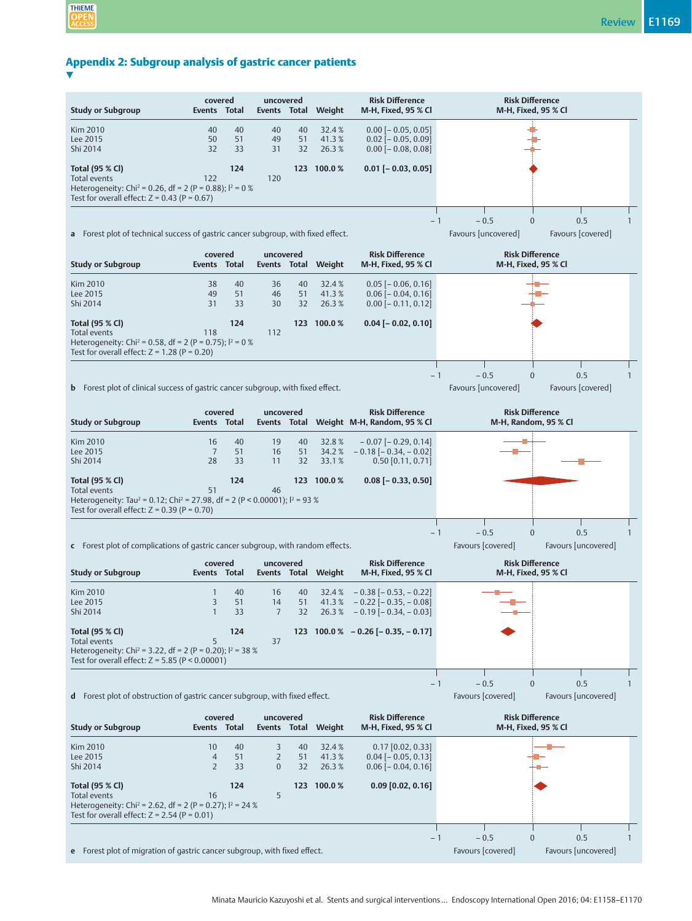Favours [covered]

Favours [covered]

Favours [uncovered]

Favours [uncovered]

0.5

1

# **OPEN**<br>ACCES

THIEME

V,

#### Appendix 2: Subgroup analysis of gastric cancer patients

| <b>Study or Subgroup</b>                                                                                                                                    | covered<br>Events Total |                | uncovered<br>Events Total |                | Weight                   | <b>Risk Difference</b><br>M-H, Fixed, 95 % Cl                                 |        | <b>Risk Difference</b><br>M-H, Fixed, 95 % Cl |     |  |
|-------------------------------------------------------------------------------------------------------------------------------------------------------------|-------------------------|----------------|---------------------------|----------------|--------------------------|-------------------------------------------------------------------------------|--------|-----------------------------------------------|-----|--|
| Kim 2010<br>Lee 2015<br>Shi 2014                                                                                                                            | 40<br>50<br>32          | 40<br>51<br>33 | 40<br>49<br>31            | 40<br>51<br>32 | 32.4 %<br>41.3%<br>26.3% | $0.00$ [ $-0.05, 0.05$ ]<br>$0.02$ [- 0.05, 0.09]<br>$0.00$ [ $-0.08, 0.08$ ] |        |                                               |     |  |
| Total (95 % Cl)<br>Total events<br>Heterogeneity: Chi <sup>2</sup> = 0.26, df = 2 (P = 0.88); $l^2$ = 0 %<br>Test for overall effect: $Z = 0.43$ (P = 0.67) | 122                     | 124            | 120                       | 123            | 100.0%                   | $0.01$ [- 0.03, 0.05]                                                         |        |                                               |     |  |
|                                                                                                                                                             |                         |                |                           |                |                          | $-1$                                                                          | $-0.5$ | $\Omega$                                      | 0.5 |  |

**a** Forest plot of technical success of gastric cancer subgroup, with fixed effect. Favours [uncovered]

| <b>Study or Subgroup</b>                                               | covered<br>Events Total |     | uncovered<br><b>Events</b> | Total | Weight | <b>Risk Difference</b><br>M-H, Fixed, 95 % Cl |        | <b>Risk Difference</b><br>M-H, Fixed, 95 % Cl |     |  |
|------------------------------------------------------------------------|-------------------------|-----|----------------------------|-------|--------|-----------------------------------------------|--------|-----------------------------------------------|-----|--|
| Kim 2010                                                               | 38                      | 40  | 36                         | 40    | 32.4%  | $0.05$ [ $-0.06, 0.16$ ]                      |        |                                               |     |  |
| Lee 2015                                                               | 49                      | 51  | 46                         | 51    | 41.3%  | $0.06$ [ $-0.04$ , 0.16]                      |        |                                               |     |  |
| Shi 2014                                                               | 31                      | 33  | 30                         | 32    | 26.3%  | $0.00$ [- 0.11, 0.12]                         |        |                                               |     |  |
| Total (95 % Cl)                                                        |                         | 124 |                            | 123.  | 100.0% | $0.04$ [- 0.02, 0.10]                         |        |                                               |     |  |
| Total events                                                           | 118                     |     | 112                        |       |        |                                               |        |                                               |     |  |
| Heterogeneity: Chi <sup>2</sup> = 0.58, df = 2 (P = 0.75); $l^2$ = 0 % |                         |     |                            |       |        |                                               |        |                                               |     |  |
| Test for overall effect: $Z = 1.28$ (P = 0.20)                         |                         |     |                            |       |        |                                               |        |                                               |     |  |
|                                                                        |                         |     |                            |       |        |                                               |        |                                               |     |  |
|                                                                        |                         |     |                            |       |        | $-1$                                          | $-0.5$ |                                               | 0.5 |  |

**b** Forest plot of clinical success of gastric cancer subgroup, with fixed effect.

| <b>Study or Subgroup</b>                                                                             | covered<br>Events Total |     | uncovered<br>Events Total |     |        | <b>Risk Difference</b><br>Weight M-H, Random, 95 % Cl | <b>Risk Difference</b><br>M-H, Random, 95 % Cl |  |  |  |
|------------------------------------------------------------------------------------------------------|-------------------------|-----|---------------------------|-----|--------|-------------------------------------------------------|------------------------------------------------|--|--|--|
| Kim 2010                                                                                             | 16                      | 40  | 19                        | 40  | 32.8%  | $-0.07$ [ $-0.29, 0.14$ ]                             |                                                |  |  |  |
| Lee 2015                                                                                             |                         | 51  | 16                        | 51  | 34.2%  | $-0.18$ [ $-0.34$ , $-0.02$ ]                         |                                                |  |  |  |
| Shi 2014                                                                                             | 28                      | 33  | 11                        | 32  | 33.1 % | $0.50$ [0.11, 0.71]                                   |                                                |  |  |  |
| Total (95 % Cl)                                                                                      |                         | 124 |                           | 123 | 100.0% | $0.08$ [- 0.33, 0.50]                                 |                                                |  |  |  |
| Total events                                                                                         | 51                      |     | 46                        |     |        |                                                       |                                                |  |  |  |
| Heterogeneity: Tau <sup>2</sup> = 0.12; Chi <sup>2</sup> = 27.98, df = 2 (P < 0.00001); $l^2$ = 93 % |                         |     |                           |     |        |                                                       |                                                |  |  |  |
| Test for overall effect: $Z = 0.39$ (P = 0.70)                                                       |                         |     |                           |     |        |                                                       |                                                |  |  |  |
|                                                                                                      |                         |     |                           |     |        |                                                       |                                                |  |  |  |

**c** Forest plot of complications of gastric cancer subgroup, with random effects.

| <b>Study or Subgroup</b>                                                                                                     | covered<br>Events Total |                | uncovered |                | Events Total Weight | <b>Risk Difference</b><br>M-H, Fixed, 95 % Cl                                                   |        | <b>Risk Difference</b><br>M-H, Fixed, 95 % Cl |     |  |
|------------------------------------------------------------------------------------------------------------------------------|-------------------------|----------------|-----------|----------------|---------------------|-------------------------------------------------------------------------------------------------|--------|-----------------------------------------------|-----|--|
| Kim 2010<br>Lee 2015<br>Shi 2014                                                                                             |                         | 40<br>51<br>33 | 16<br>14  | 40<br>51<br>32 |                     | $32.4\% - 0.38[-0.53, -0.22]$<br>$41.3\% - 0.22[-0.35, -0.08]$<br>$26.3\% - 0.19[-0.34, -0.03]$ |        | $\frac{1}{2}$<br>- 1                          |     |  |
| Total (95 % Cl)<br>Total events                                                                                              |                         | 124            | 37        |                |                     | $123$ 100.0 % - 0.26 [- 0.35, - 0.17]                                                           |        |                                               |     |  |
| Heterogeneity: Chi <sup>2</sup> = 3.22, df = 2 (P = 0.20); $l^2$ = 38 %<br>Test for overall effect: $Z = 5.85$ (P < 0.00001) |                         |                |           |                |                     |                                                                                                 |        |                                               |     |  |
|                                                                                                                              |                         |                |           |                |                     | $-$                                                                                             | $-0.5$ |                                               | 0.5 |  |

**d** Forest plot of obstruction of gastric cancer subgroup, with fixed effect.

|                                                                           | covered      |     | uncovered    |     |        | <b>Risk Difference</b>   |  |                   | <b>Risk Difference</b> |                     |  |
|---------------------------------------------------------------------------|--------------|-----|--------------|-----|--------|--------------------------|--|-------------------|------------------------|---------------------|--|
| <b>Study or Subgroup</b>                                                  | Events Total |     | Events Total |     | Weight | M-H. Fixed, 95 % Cl      |  |                   | M-H, Fixed, 95 % Cl    |                     |  |
| Kim 2010                                                                  | 10           | 40  |              | 40  | 32.4%  | $0.17$ [0.02, 0.33]      |  |                   |                        |                     |  |
| Lee 2015                                                                  | 4            | 51  |              | 51  | 41.3%  | $0.04$ [- 0.05, 0.13]    |  |                   |                        |                     |  |
| Shi 2014<br>33<br>$\mathbf{0}$<br>32                                      |              |     |              |     | 26.3%  | $0.06$ [ $-0.04$ , 0.16] |  |                   |                        |                     |  |
| Total (95 % Cl)                                                           |              | 124 |              | 123 | 100.0% | $0.09$ [0.02, 0.16]      |  |                   |                        |                     |  |
| Total events                                                              | 16           |     | 5            |     |        |                          |  |                   |                        |                     |  |
| Heterogeneity: Chi <sup>2</sup> = 2.62, df = 2 (P = 0.27); $l^2$ = 24 %   |              |     |              |     |        |                          |  |                   |                        |                     |  |
| Test for overall effect: $Z = 2.54$ (P = 0.01)                            |              |     |              |     |        |                          |  |                   |                        |                     |  |
|                                                                           |              |     |              |     |        |                          |  |                   |                        |                     |  |
|                                                                           |              |     |              |     |        | $-1$                     |  | $-0.5$            | $\Omega$               | 0.5                 |  |
| e Forest plot of migration of gastric cancer subgroup, with fixed effect. |              |     |              |     |        |                          |  | Favours [covered] |                        | Favours [uncovered] |  |

**e** Forest plot of migration of gastric cancer subgroup, with fixed effect.

– 1

Favours [uncovered]

Favours [covered]

Favours [covered]

 $-0.5$ 

 $\overline{0}$